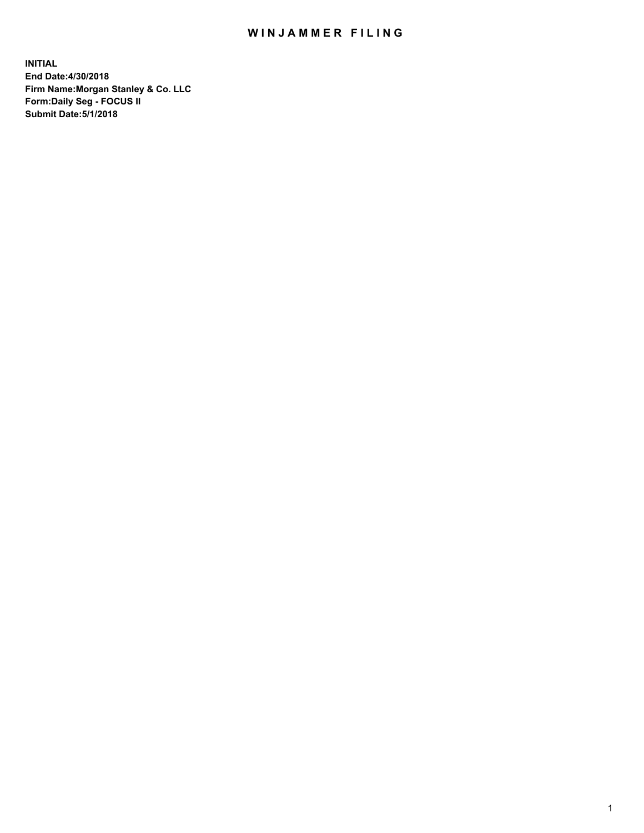## WIN JAMMER FILING

**INITIAL End Date:4/30/2018 Firm Name:Morgan Stanley & Co. LLC Form:Daily Seg - FOCUS II Submit Date:5/1/2018**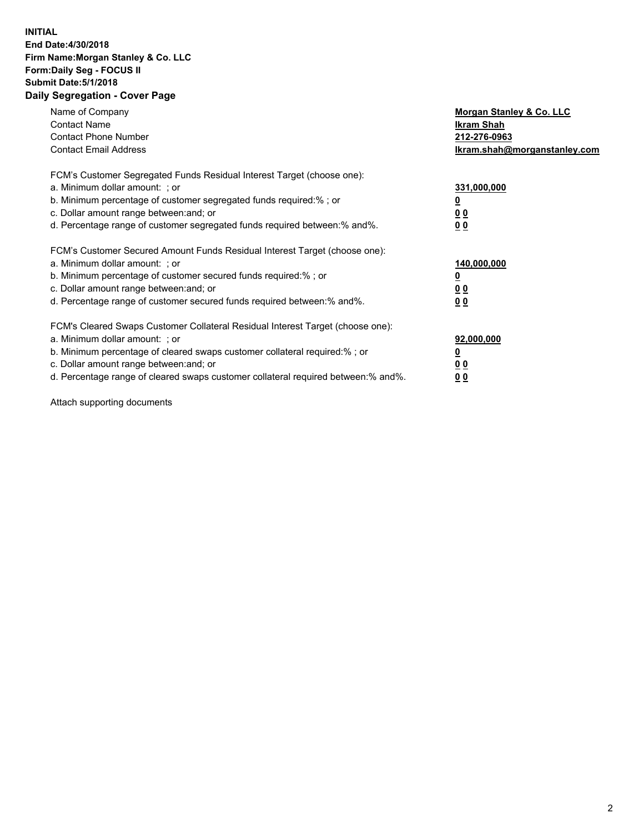## **INITIAL End Date:4/30/2018 Firm Name:Morgan Stanley & Co. LLC Form:Daily Seg - FOCUS II Submit Date:5/1/2018 Daily Segregation - Cover Page**

| Name of Company<br><b>Contact Name</b><br><b>Contact Phone Number</b><br><b>Contact Email Address</b>                                                                                                                                                                                                                          | Morgan Stanley & Co. LLC<br>Ikram Shah<br>212-276-0963<br>lkram.shah@morganstanley.com |
|--------------------------------------------------------------------------------------------------------------------------------------------------------------------------------------------------------------------------------------------------------------------------------------------------------------------------------|----------------------------------------------------------------------------------------|
| FCM's Customer Segregated Funds Residual Interest Target (choose one):<br>a. Minimum dollar amount: ; or<br>b. Minimum percentage of customer segregated funds required:%; or<br>c. Dollar amount range between: and; or<br>d. Percentage range of customer segregated funds required between: % and %.                        | 331,000,000<br>0 <sub>0</sub><br>00                                                    |
| FCM's Customer Secured Amount Funds Residual Interest Target (choose one):<br>a. Minimum dollar amount: ; or<br>b. Minimum percentage of customer secured funds required:%; or<br>c. Dollar amount range between: and; or<br>d. Percentage range of customer secured funds required between:% and%.                            | 140,000,000<br>0 <sub>0</sub><br>0 <sub>0</sub>                                        |
| FCM's Cleared Swaps Customer Collateral Residual Interest Target (choose one):<br>a. Minimum dollar amount: ; or<br>b. Minimum percentage of cleared swaps customer collateral required:% ; or<br>c. Dollar amount range between: and; or<br>d. Percentage range of cleared swaps customer collateral required between:% and%. | 92,000,000<br>0 <sub>0</sub><br>0 <sub>0</sub>                                         |

Attach supporting documents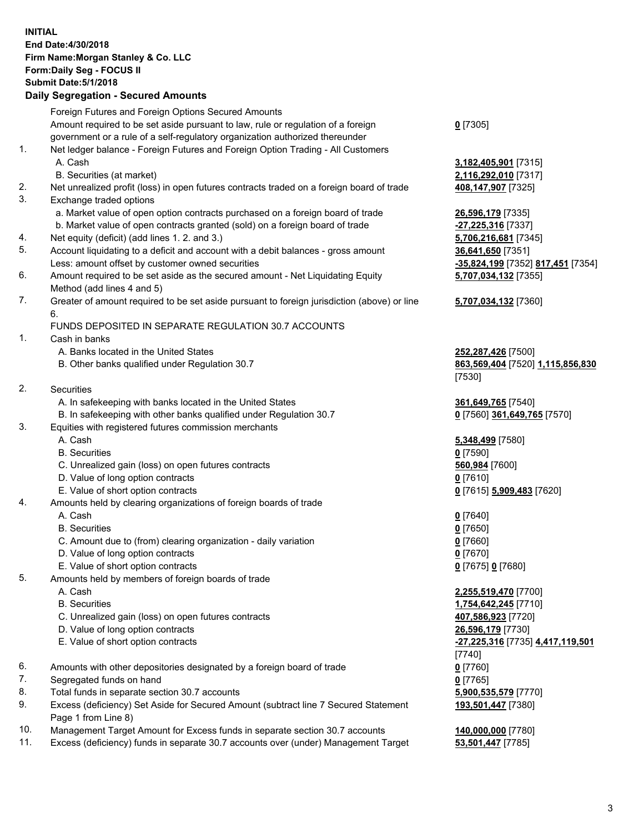## **INITIAL End Date:4/30/2018 Firm Name:Morgan Stanley & Co. LLC Form:Daily Seg - FOCUS II Submit Date:5/1/2018 Daily Segregation - Secured Amounts** Foreign Futures and Foreign Options Secured Amounts

Amount required to be set aside pursuant to law, rule or regulation of a foreign government or a rule of a self-regulatory organization authorized thereunder 1. Net ledger balance - Foreign Futures and Foreign Option Trading - All Customers A. Cash **3,182,405,901** [7315] B. Securities (at market) **2,116,292,010** [7317] 2. Net unrealized profit (loss) in open futures contracts traded on a foreign board of trade **408,147,907** [7325] 3. Exchange traded options a. Market value of open option contracts purchased on a foreign board of trade **26,596,179** [7335] b. Market value of open contracts granted (sold) on a foreign board of trade **-27,225,316** [7337] 4. Net equity (deficit) (add lines 1. 2. and 3.) **5,706,216,681** [7345] 5. Account liquidating to a deficit and account with a debit balances - gross amount **36,641,650** [7351] Less: amount offset by customer owned securities **-35,824,199** [7352] **817,451** [7354] 6. Amount required to be set aside as the secured amount - Net Liquidating Equity Method (add lines 4 and 5) 7. Greater of amount required to be set aside pursuant to foreign jurisdiction (above) or line 6. FUNDS DEPOSITED IN SEPARATE REGULATION 30.7 ACCOUNTS 1. Cash in banks A. Banks located in the United States **252,287,426** [7500] B. Other banks qualified under Regulation 30.7 **863,569,404** [7520] **1,115,856,830** 2. Securities A. In safekeeping with banks located in the United States **361,649,765** [7540] B. In safekeeping with other banks qualified under Regulation 30.7 **0** [7560] **361,649,765** [7570] 3. Equities with registered futures commission merchants A. Cash **5,348,499** [7580] B. Securities **0** [7590] C. Unrealized gain (loss) on open futures contracts **560,984** [7600] D. Value of long option contracts **0** [7610] E. Value of short option contracts **0** [7615] **5,909,483** [7620] 4. Amounts held by clearing organizations of foreign boards of trade A. Cash **0** [7640] B. Securities **0** [7650] C. Amount due to (from) clearing organization - daily variation **0** [7660] D. Value of long option contracts **0** [7670] E. Value of short option contracts **0** [7675] **0** [7680] 5. Amounts held by members of foreign boards of trade A. Cash **2,255,519,470** [7700] B. Securities **1,754,642,245** [7710] C. Unrealized gain (loss) on open futures contracts **407,586,923** [7720] D. Value of long option contracts **26,596,179** [7730] E. Value of short option contracts **-27,225,316** [7735] **4,417,119,501** 6. Amounts with other depositories designated by a foreign board of trade **0** [7760] 7. Segregated funds on hand **0** [7765] 8. Total funds in separate section 30.7 accounts **5,900,535,579** [7770]

- 9. Excess (deficiency) Set Aside for Secured Amount (subtract line 7 Secured Statement Page 1 from Line 8)
- 10. Management Target Amount for Excess funds in separate section 30.7 accounts **140,000,000** [7780]
- 11. Excess (deficiency) funds in separate 30.7 accounts over (under) Management Target **53,501,447** [7785]

**0** [7305]

**5,707,034,132** [7355] **5,707,034,132** [7360] [7530] [7740]

**193,501,447** [7380]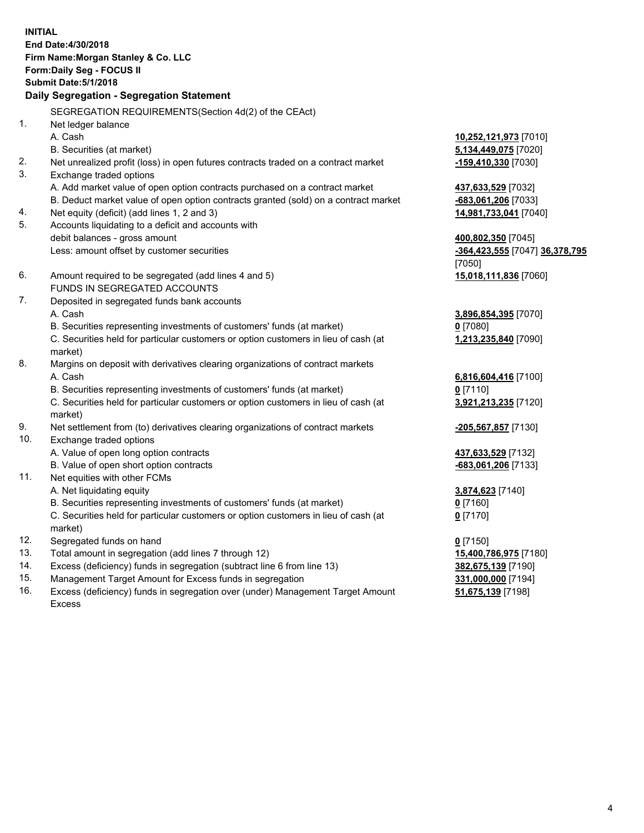**INITIAL End Date:4/30/2018 Firm Name:Morgan Stanley & Co. LLC Form:Daily Seg - FOCUS II Submit Date:5/1/2018 Daily Segregation - Segregation Statement** SEGREGATION REQUIREMENTS(Section 4d(2) of the CEAct) 1. Net ledger balance A. Cash **10,252,121,973** [7010] B. Securities (at market) **5,134,449,075** [7020] 2. Net unrealized profit (loss) in open futures contracts traded on a contract market **-159,410,330** [7030] 3. Exchange traded options A. Add market value of open option contracts purchased on a contract market **437,633,529** [7032] B. Deduct market value of open option contracts granted (sold) on a contract market **-683,061,206** [7033] 4. Net equity (deficit) (add lines 1, 2 and 3) **14,981,733,041** [7040] 5. Accounts liquidating to a deficit and accounts with debit balances - gross amount **400,802,350** [7045] Less: amount offset by customer securities **and the securities of the securities of the securities of the securities of the securities <b>-364,423,555** [7047] **36,378,795** [7050] 6. Amount required to be segregated (add lines 4 and 5) **15,018,111,836** [7060] FUNDS IN SEGREGATED ACCOUNTS 7. Deposited in segregated funds bank accounts A. Cash **3,896,854,395** [7070] B. Securities representing investments of customers' funds (at market) **0** [7080] C. Securities held for particular customers or option customers in lieu of cash (at market) **1,213,235,840** [7090] 8. Margins on deposit with derivatives clearing organizations of contract markets A. Cash **6,816,604,416** [7100] B. Securities representing investments of customers' funds (at market) **0** [7110] C. Securities held for particular customers or option customers in lieu of cash (at market) **3,921,213,235** [7120] 9. Net settlement from (to) derivatives clearing organizations of contract markets **-205,567,857** [7130] 10. Exchange traded options A. Value of open long option contracts **437,633,529** [7132] B. Value of open short option contracts **and the set of open short option contracts -683,061,206** [7133] 11. Net equities with other FCMs A. Net liquidating equity **3,874,623** [7140] B. Securities representing investments of customers' funds (at market) **0** [7160] C. Securities held for particular customers or option customers in lieu of cash (at market) **0** [7170] 12. Segregated funds on hand **0** [7150] 13. Total amount in segregation (add lines 7 through 12) **15,400,786,975** [7180] 14. Excess (deficiency) funds in segregation (subtract line 6 from line 13) **382,675,139** [7190] 15. Management Target Amount for Excess funds in segregation **331,000,000** [7194] **51,675,139** [7198]

16. Excess (deficiency) funds in segregation over (under) Management Target Amount Excess